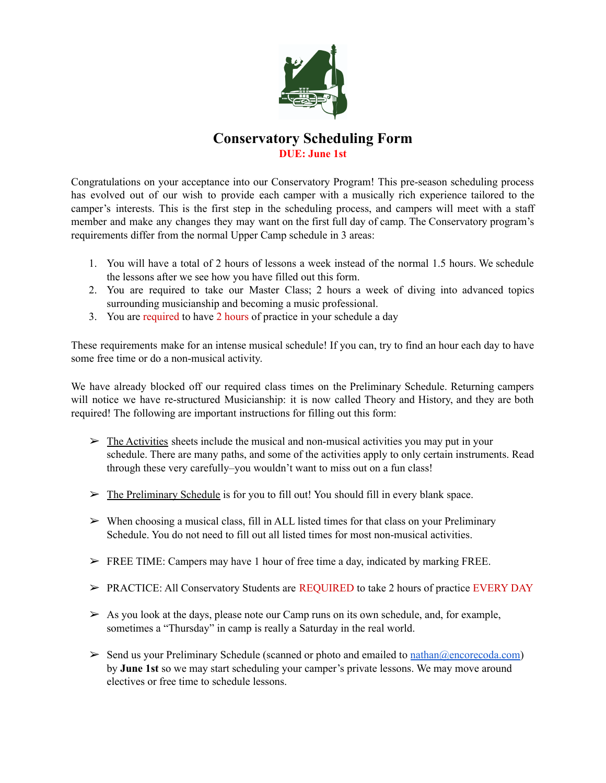

### **Conservatory Scheduling Form DUE: June 1st**

Congratulations on your acceptance into our Conservatory Program! This pre-season scheduling process has evolved out of our wish to provide each camper with a musically rich experience tailored to the camper's interests. This is the first step in the scheduling process, and campers will meet with a staff member and make any changes they may want on the first full day of camp. The Conservatory program's requirements differ from the normal Upper Camp schedule in 3 areas:

- 1. You will have a total of 2 hours of lessons a week instead of the normal 1.5 hours. We schedule the lessons after we see how you have filled out this form.
- 2. You are required to take our Master Class; 2 hours a week of diving into advanced topics surrounding musicianship and becoming a music professional.
- 3. You are required to have 2 hours of practice in your schedule a day

These requirements make for an intense musical schedule! If you can, try to find an hour each day to have some free time or do a non-musical activity.

We have already blocked off our required class times on the Preliminary Schedule. Returning campers will notice we have re-structured Musicianship: it is now called Theory and History, and they are both required! The following are important instructions for filling out this form:

- $\triangleright$  The Activities sheets include the musical and non-musical activities you may put in your schedule. There are many paths, and some of the activities apply to only certain instruments. Read through these very carefully–you wouldn't want to miss out on a fun class!
- $\triangleright$  The Preliminary Schedule is for you to fill out! You should fill in every blank space.
- $\triangleright$  When choosing a musical class, fill in ALL listed times for that class on your Preliminary Schedule. You do not need to fill out all listed times for most non-musical activities.
- $\triangleright$  FREE TIME: Campers may have 1 hour of free time a day, indicated by marking FREE.
- ➢ PRACTICE: All Conservatory Students are REQUIRED to take 2 hours of practice EVERY DAY
- $\triangleright$  As you look at the days, please note our Camp runs on its own schedule, and, for example, sometimes a "Thursday" in camp is really a Saturday in the real world.
- $\triangleright$  Send us your Preliminary Schedule (scanned or photo and emailed to nathan @encorecoda.com) by **June 1st** so we may start scheduling your camper's private lessons. We may move around electives or free time to schedule lessons.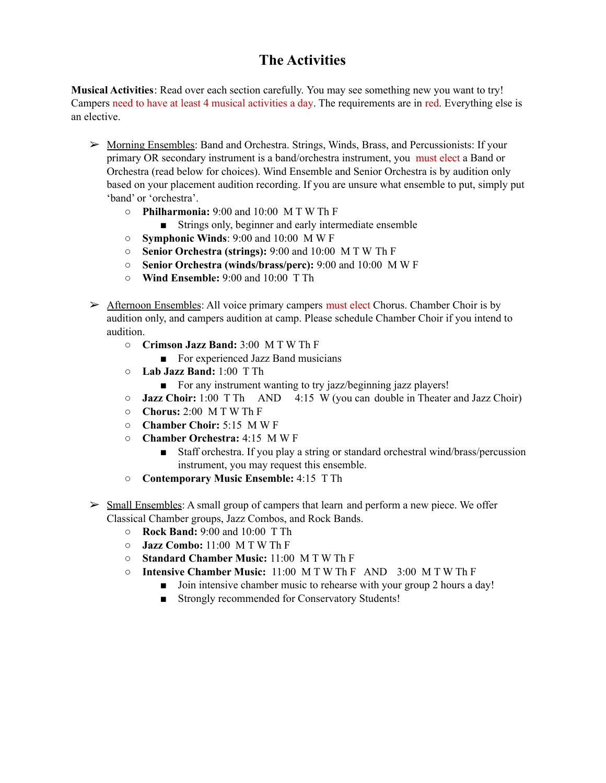# **The Activities**

**Musical Activities**: Read over each section carefully. You may see something new you want to try! Campers need to have at least 4 musical activities a day. The requirements are in red. Everything else is an elective.

- $\triangleright$  Morning Ensembles: Band and Orchestra. Strings, Winds, Brass, and Percussionists: If your primary OR secondary instrument is a band/orchestra instrument, you must elect a Band or Orchestra (read below for choices). Wind Ensemble and Senior Orchestra is by audition only based on your placement audition recording. If you are unsure what ensemble to put, simply put 'band' or 'orchestra'.
	- **Philharmonia:** 9:00 and 10:00 M T W Th F
		- Strings only, beginner and early intermediate ensemble
	- **○ Symphonic Winds**: 9:00 and 10:00 M W F
	- **○ Senior Orchestra (strings):** 9:00 and 10:00 M T W Th F
	- **○ Senior Orchestra (winds/brass/perc):** 9:00 and 10:00 M W F
	- **○ Wind Ensemble:** 9:00 and 10:00 T Th
- ➢ Afternoon Ensembles: All voice primary campers must elect Chorus. Chamber Choir is by audition only, and campers audition at camp. Please schedule Chamber Choir if you intend to audition.
	- **○ Crimson Jazz Band:** 3:00 M T W Th F
		- For experienced Jazz Band musicians
	- **○ Lab Jazz Band:** 1:00 T Th
		- For any instrument wanting to try jazz/beginning jazz players!
	- **○ Jazz Choir:** 1:00 T Th AND 4:15 W (you can double in Theater and Jazz Choir)
	- **○ Chorus:** 2:00 M T W Th F
	- **○ Chamber Choir:** 5:15 M W F
	- **○ Chamber Orchestra:** 4:15 M W F
		- Staff orchestra. If you play a string or standard orchestral wind/brass/percussion instrument, you may request this ensemble.
	- **○ Contemporary Music Ensemble:** 4:15 T Th
- $\triangleright$  Small Ensembles: A small group of campers that learn and perform a new piece. We offer Classical Chamber groups, Jazz Combos, and Rock Bands.
	- **Rock Band:** 9:00 and 10:00 T Th
	- **○ Jazz Combo:** 11:00 M T W Th F
	- **Standard Chamber Music:** 11:00 M T W Th F
	- **Intensive Chamber Music:** 11:00 M T W Th F AND 3:00 M T W Th F
		- Join intensive chamber music to rehearse with your group 2 hours a day!
		- Strongly recommended for Conservatory Students!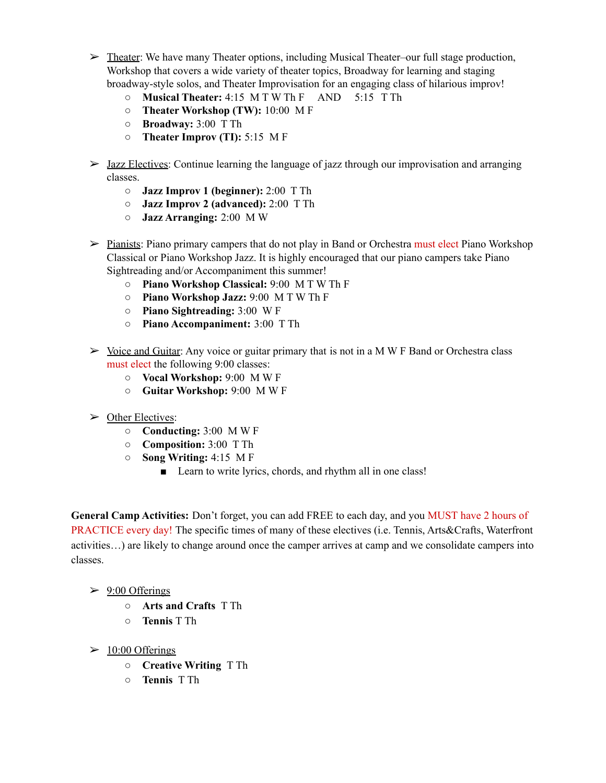- $\triangleright$  Theater: We have many Theater options, including Musical Theater–our full stage production, Workshop that covers a wide variety of theater topics, Broadway for learning and staging broadway-style solos, and Theater Improvisation for an engaging class of hilarious improv!
	- **○ Musical Theater:** 4:15 M T W Th F AND 5:15 T Th
	- **○ Theater Workshop (TW):** 10:00 M F
	- **○ Broadway:** 3:00 T Th
	- **○ Theater Improv (TI):** 5:15 M F
- $\geq$  Jazz Electives: Continue learning the language of jazz through our improvisation and arranging classes.
	- **○ Jazz Improv 1 (beginner):** 2:00 T Th
	- **○ Jazz Improv 2 (advanced):** 2:00 T Th
	- **○ Jazz Arranging:** 2:00 M W
- $\triangleright$  Pianists: Piano primary campers that do not play in Band or Orchestra must elect Piano Workshop Classical or Piano Workshop Jazz. It is highly encouraged that our piano campers take Piano Sightreading and/or Accompaniment this summer!
	- **○ Piano Workshop Classical:** 9:00 M T W Th F
	- **Piano Workshop Jazz:** 9:00 M T W Th F
	- **○ Piano Sightreading:** 3:00 W F
	- **○ Piano Accompaniment:** 3:00 T Th
- $\triangleright$  Voice and Guitar: Any voice or guitar primary that is not in a M W F Band or Orchestra class must elect the following 9:00 classes:
	- **○ Vocal Workshop:** 9:00 M W F
	- **○ Guitar Workshop:** 9:00 M W F
- $\triangleright$  Other Electives:
	- **○ Conducting:** 3:00 M W F
	- **○ Composition:** 3:00 T Th
	- **○ Song Writing:** 4:15 M F
		- Learn to write lyrics, chords, and rhythm all in one class!

**General Camp Activities:** Don't forget, you can add FREE to each day, and you MUST have 2 hours of PRACTICE every day! The specific times of many of these electives (i.e. Tennis, Arts&Crafts, Waterfront activities…) are likely to change around once the camper arrives at camp and we consolidate campers into classes.

#### $\geq 9:00$  Offerings

- **○ Arts and Crafts** T Th
- **○ Tennis** T Th
- $\geq 10:00$  Offerings
	- **○ Creative Writing** T Th
	- **○ Tennis** T Th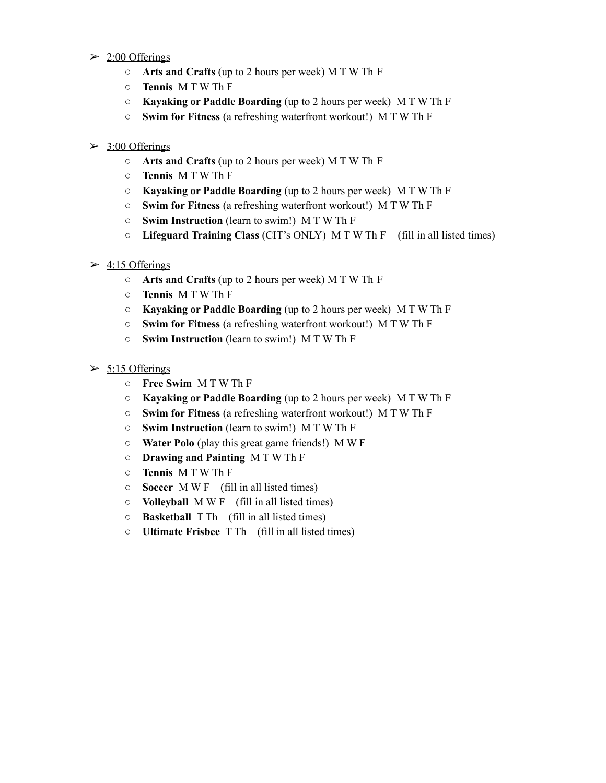#### $\geq 2:00$  Offerings

- **○ Arts and Crafts** (up to 2 hours per week) M T W Th F
- **○ Tennis** M T W Th F
- **○ Kayaking or Paddle Boarding** (up to 2 hours per week) M T W Th F
- **○ Swim for Fitness** (a refreshing waterfront workout!) M T W Th F

#### $\geq 3:00$  Offerings

- **○ Arts and Crafts** (up to 2 hours per week) M T W Th F
- **○ Tennis** M T W Th F
- **○ Kayaking or Paddle Boarding** (up to 2 hours per week) M T W Th F
- **○ Swim for Fitness** (a refreshing waterfront workout!) M T W Th F
- **○ Swim Instruction** (learn to swim!) M T W Th F
- **○ Lifeguard Training Class** (CIT's ONLY) M T W Th F (fill in all listed times)
- $\geq 4:15$  Offerings
	- **○ Arts and Crafts** (up to 2 hours per week) M T W Th F
	- **○ Tennis** M T W Th F
	- **○ Kayaking or Paddle Boarding** (up to 2 hours per week) M T W Th F
	- **○ Swim for Fitness** (a refreshing waterfront workout!) M T W Th F
	- **○ Swim Instruction** (learn to swim!) M T W Th F
- $\geq$  5:15 Offerings
	- **○ Free Swim** M T W Th F
	- **○ Kayaking or Paddle Boarding** (up to 2 hours per week) M T W Th F
	- **Swim for Fitness** (a refreshing waterfront workout!) M T W Th F
	- **Swim Instruction** (learn to swim!) M T W Th F
	- **○ Water Polo** (play this great game friends!) M W F
	- **○ Drawing and Painting** M T W Th F
	- **○ Tennis** M T W Th F
	- **○ Soccer** M W F (fill in all listed times)
	- **○ Volleyball** M W F (fill in all listed times)
	- **○ Basketball** T Th (fill in all listed times)
	- **○ Ultimate Frisbee** T Th (fill in all listed times)